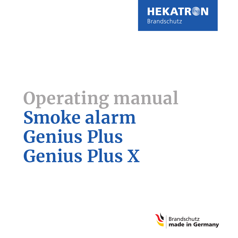

# **Operating manual Smoke alarm Genius Plus Genius Plus X**

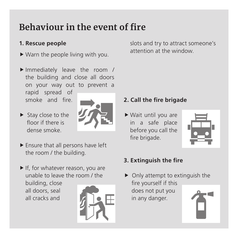### <span id="page-2-0"></span>**Behaviour in the event of fire**

### **1. Rescue people**

- $\blacktriangleright$  Warn the people living with you.
- $\blacktriangleright$  Immediately leave the room / the building and close all doors on your way out to prevent a

rapid spread of smoke and fire.

 $\blacktriangleright$  Stay close to the floor if there is dense smoke.



- $\blacktriangleright$  Ensure that all persons have left the room / the building.
- $\blacktriangleright$  If, for whatever reason, you are unable to leave the room / the building, close all doors, seal all cracks and



slots and try to attract someone's attention at the window.

### **2. Call the fire brigade**

 $\blacktriangleright$  Wait until you are in a safe place before you call the fire brigade.



### **3. Extinguish the fire**

 $\triangleright$  Only attempt to extinguish the fire yourself if this does not put you in any danger.

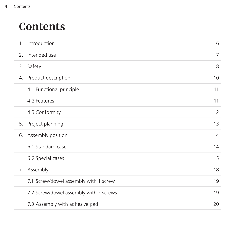### **Contents**

|               | 1. Introduction                        | 6  |
|---------------|----------------------------------------|----|
| $\mathcal{L}$ | Intended use                           | 7  |
| 3.            | Safety                                 | 8  |
|               | 4. Product description                 | 10 |
|               | 4.1 Functional principle               | 11 |
|               | 4.2 Features                           | 11 |
|               | 4.3 Conformity                         | 12 |
| 5.            | Project planning                       | 13 |
|               | 6. Assembly position                   | 14 |
|               | 6.1 Standard case                      | 14 |
|               | 6.2 Special cases                      | 15 |
| 7.            | Assembly                               | 18 |
|               | 7.1 Screw/dowel assembly with 1 screw  | 19 |
|               | 7.2 Screw/dowel assembly with 2 screws | 19 |
|               | 7.3 Assembly with adhesive pad         | 20 |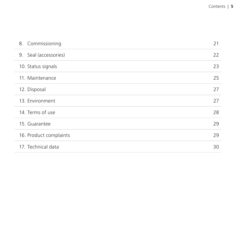| 8. Commissioning       | 21 |
|------------------------|----|
| 9. Seal (accessories)  | 22 |
| 10. Status signals     | 23 |
| 11. Maintenance        | 25 |
| 12. Disposal           | 27 |
| 13. Environment        | 27 |
| 14. Terms of use       | 28 |
| 15. Guarantee          | 29 |
| 16. Product complaints | 29 |
| 17. Technical data     | 30 |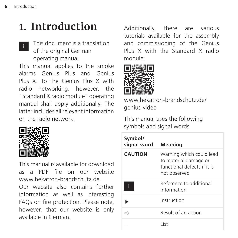## <span id="page-5-0"></span>**1. Introduction**

This document is a translation of the original German operating manual. **i**

This manual applies to the smoke alarms Genius Plus and Genius Plus X. To the Genius Plus X with radio networking, however, the "Standard X radio module" operating manual shall apply additionally. The latter includes all relevant information on the radio network.



This manual is available for download as a PDF file on our website [www.hekatron-brandschutz.de](http://hekatron-brandschutz.de).

Our website also contains further information as well as interesting FAQs on fire protection. Please note, however, that our website is only available in German.

Additionally, there are various tutorials available for the assembly and commissioning of the Genius Plus X with the Standard X radio module:



[www.hekatron-brandschutz.de/](http://hekatron-brandschutz.de/genius-video) [genius-video](http://hekatron-brandschutz.de/genius-video)

This manual uses the following symbols and signal words:

| Symbol/<br>signal word | Meaning                                                                                          |
|------------------------|--------------------------------------------------------------------------------------------------|
| <b>CAUTION</b>         | Warning which could lead<br>to material damage or<br>functional defects if it is<br>not observed |
| f                      | Reference to additional<br>information                                                           |
|                        | Instruction                                                                                      |
|                        | Result of an action                                                                              |
|                        | l ist                                                                                            |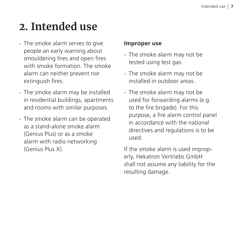## <span id="page-6-0"></span>**2. Intended use**

- The smoke alarm serves to give people an early warning about smouldering fires and open fires with smoke formation. The smoke alarm can neither prevent nor extinguish fires.
- The smoke alarm may be installed in residential buildings, apartments and rooms with similar purposes.
- The smoke alarm can be operated as a stand-alone smoke alarm (Genius Plus) or as a smoke alarm with radio networking (Genius Plus X).

#### **Improper use**

- The smoke alarm may not be tested using test gas.
- The smoke alarm may not be installed in outdoor areas.
- The smoke alarm may not be used for forwarding alarms (e.g. to the fire brigade). For this purpose, a fire alarm control panel in accordance with the national directives and regulations is to be used.

If the smoke alarm is used improperly, Hekatron Vertriebs GmbH shall not assume any liability for the resulting damage.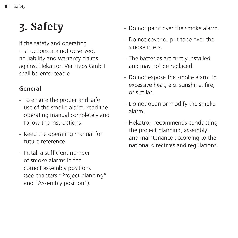## <span id="page-7-0"></span>**3. Safety**

If the safety and operating instructions are not observed, no liability and warranty claims against Hekatron Vertriebs GmbH shall be enforceable.

### **General**

- To ensure the proper and safe use of the smoke alarm, read the operating manual completely and follow the instructions.
- Keep the operating manual for future reference.
- Install a sufficient number of smoke alarms in the correct assembly positions (see chapters ["Project planning"](#page-13-0) and ["Assembly position"](#page-14-0)).
- Do not paint over the smoke alarm.
- Do not cover or put tape over the smoke inlets.
- The batteries are firmly installed and may not be replaced.
- Do not expose the smoke alarm to excessive heat, e.g. sunshine, fire, or similar.
- Do not open or modify the smoke alarm.
- Hekatron recommends conducting the project planning, assembly and maintenance according to the national directives and regulations.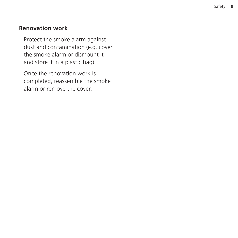#### **Renovation work**

- Protect the smoke alarm against dust and contamination (e.g. cover the smoke alarm or dismount it and store it in a plastic bag).
- Once the renovation work is completed, reassemble the smoke alarm or remove the cover.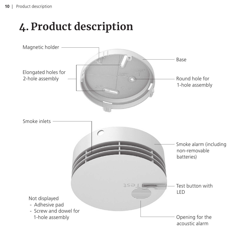## <span id="page-9-0"></span>**4. Product description**

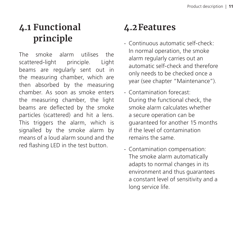### <span id="page-10-0"></span>**4.1 Functional principle**

The smoke alarm utilises the scattered-light principle. Light beams are regularly sent out in the measuring chamber, which are then absorbed by the measuring chamber. As soon as smoke enters the measuring chamber, the light beams are deflected by the smoke particles (scattered) and hit a lens. This triggers the alarm, which is signalled by the smoke alarm by means of a loud alarm sound and the red flashing LED in the test button.

### **4.2Features**

- Continuous automatic self-check: In normal operation, the smoke alarm regularly carries out an automatic self-check and therefore only needs to be checked once a year (see chapter ["Maintenance"\)](#page-26-0).
- Contamination forecast: During the functional check, the smoke alarm calculates whether a secure operation can be guaranteed for another 15 months if the level of contamination remains the same.
- Contamination compensation: The smoke alarm automatically adapts to normal changes in its environment and thus guarantees a constant level of sensitivity and a long service life.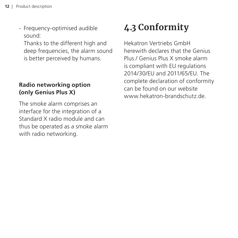<span id="page-11-0"></span>- Frequency-optimised audible sound:

Thanks to the different high and deep frequencies, the alarm sound is better perceived by humans.

### **Radio networking option (only Genius Plus X)**

The smoke alarm comprises an interface for the integration of a Standard X radio module and can thus be operated as a smoke alarm with radio networking.

### **4.3 Conformity**

Hekatron Vertriebs GmbH herewith declares that the Genius Plus / Genius Plus X smoke alarm is compliant with EU regulations 2014/30/EU and 2011/65/EU. The complete declaration of conformity can be found on our website [www.hekatron-brandschutz.de.](http://hekatron-brandschutz.de)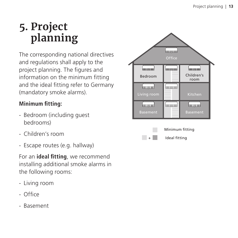## <span id="page-12-0"></span>**5. Project planning**

The corresponding national directives and regulations shall apply to the project planning. The figures and information on the minimum fitting and the ideal fitting refer to Germany (mandatory smoke alarms).

### **Minimum fitting:**

- Bedroom (including guest bedrooms)
- Children's room
- Escape routes (e.g. hallway)

For an **ideal fitting**, we recommend installing additional smoke alarms in the following rooms:

- Living room
- Office
- Basement



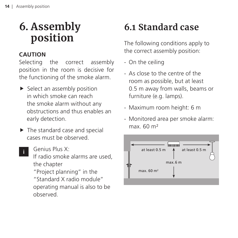## <span id="page-13-0"></span>**6. Assembly position**

### **CAUTION**

**i**

Selecting the correct assembly position in the room is decisive for the functioning of the smoke alarm.

- $\blacktriangleright$  Select an assembly position in which smoke can reach the smoke alarm without any obstructions and thus enables an early detection.
- $\blacktriangleright$  The standard case and special cases must be observed.
	- Genius Plus X: If radio smoke alarms are used, the chapter ["Project planning"](file:) in the "Standard X radio module" operating manual is also to be observed.

## **6.1 Standard case**

The following conditions apply to the correct assembly position:

- On the ceiling
- As close to the centre of the room as possible, but at least 0.5 m away from walls, beams or furniture (e.g. lamps).
- Maximum room height: 6 m
- Monitored area per smoke alarm:  $max. 60 m<sup>2</sup>$

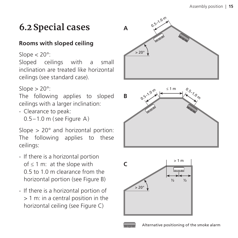### <span id="page-14-0"></span>**6.2 Special cases**

### **Rooms with sloped ceiling**

Slope  $<$  20 $^{\circ}$ :

Sloped ceilings with a small inclination are treated like horizontal ceilings (see standard case).

Slope  $> 20^\circ$ :

The following applies to sloped ceilings with a larger inclination:

- Clearance to peak:

 $0.5-1.0$  m (see Figure A)

Slope > 20° and horizontal portion: The following applies to these ceilings:

- If there is a horizontal portion of ≤ 1 m: at the slope with 0.5 to 1.0 m clearance from the horizontal portion (see Figure B)
- If there is a horizontal portion of > 1 m: in a central position in the horizontal ceiling (see Figure C)







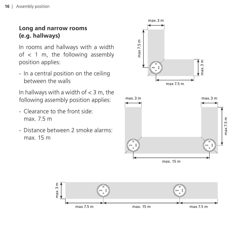### **Long and narrow rooms (e.g. hallways)**

In rooms and hallways with a width of < 1 m, the following assembly position applies:

- In a central position on the ceiling between the walls

In hallways with a width of  $<$  3 m, the following assembly position applies:

- Clearance to the front side: max. 7.5 m
- Distance between 2 smoke alarms: max. 15 m



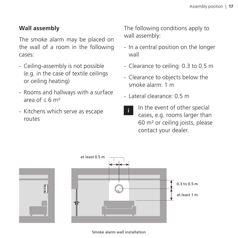### **Wall assembly**

The smoke alarm may be placed on the wall of a room in the following cases:

- Ceiling-assembly is not possible (e.g. in the case of textile ceilings or ceiling heating)
- Rooms and hallways with a surface area of  $< 6$  m<sup>2</sup>
- Kitchens which serve as escape routes

The following conditions apply to wall assembly:

- In a central position on the longer wall
- Clearance to ceiling: 0.3 to 0.5 m
- Clearance to objects below the smoke alarm: 1 m
- Lateral clearance: 0.5 m
- In the event of other special cases, e.g. rooms larger than 60 m² or ceiling joists, please contact your dealer.



Smoke alarm wall installation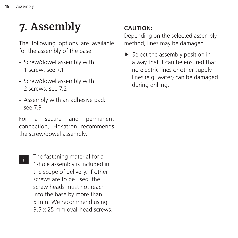## <span id="page-17-0"></span>**7. Assembly**

The following options are available for the assembly of the base:

- Screw/dowel assembly with 1 screw: [see 7.1](#page-19-0)
- Screw/dowel assembly with 2 screws: [see 7.2](#page-19-0)
- Assembly with an adhesive pad: [see 7.3](#page-20-0)

For a secure and permanent connection, Hekatron recommends the screw/dowel assembly.

**i**

The fastening material for a 1-hole assembly is included in the scope of delivery. If other screws are to be used, the screw heads must not reach into the base by more than 5 mm. We recommend using 3.5 x 25 mm oval-head screws.

### **CAUTION:**

Depending on the selected assembly method, lines may be damaged.

 $\blacktriangleright$  Select the assembly position in a way that it can be ensured that no electric lines or other supply lines (e.g. water) can be damaged during drilling.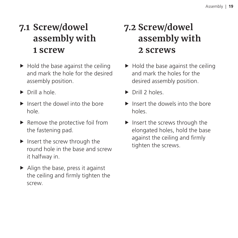### <span id="page-18-0"></span>**7.1 Screw/dowel assembly with 1 screw**

- $\blacktriangleright$  Hold the base against the ceiling and mark the hole for the desired assembly position.
- $\triangleright$  Drill a hole.
- $\blacktriangleright$  Insert the dowel into the bore hole.
- $\blacktriangleright$  Remove the protective foil from the fastening pad.
- $\blacktriangleright$  Insert the screw through the round hole in the base and screw it halfway in.
- $\blacktriangleright$  Align the base, press it against the ceiling and firmly tighten the screw.

### **7.2 Screw/dowel assembly with 2 screws**

- $\blacktriangleright$  Hold the base against the ceiling and mark the holes for the desired assembly position.
- $\triangleright$  Drill 2 holes.
- $\blacktriangleright$  Insert the dowels into the bore holes.
- $\blacktriangleright$  Insert the screws through the elongated holes, hold the base against the ceiling and firmly tighten the screws.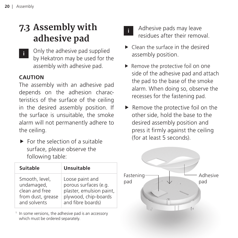### <span id="page-19-0"></span>**7.3 Assembly with adhesive pad**

Only the adhesive pad supplied by Hekatron may be used for the assembly with adhesive pad. **i**

#### **CAUTION**

The assembly with an adhesive pad depends on the adhesion characteristics of the surface of the ceiling in the desired assembly position. If the surface is unsuitable, the smoke alarm will not permanently adhere to the ceiling.

 $\blacktriangleright$  For the selection of a suitable surface, please observe the following table:

| Suitable          | <b>Unsuitable</b>        |
|-------------------|--------------------------|
| Smooth, level.    | Loose paint and          |
| undamaged,        | porous surfaces (e.g.    |
| clean and free    | plaster, emulsion paint, |
| from dust, grease | plywood, chip-boards     |
| and solvents      | and fibre boards)        |

<sup>1</sup> In some versions, the adhesive pad is an accessory which must be ordered separately.



Adhesive pads may leave residues after their removal.

- $\blacktriangleright$  Clean the surface in the desired assembly position.
- $\blacktriangleright$  Remove the protective foil on one side of the adhesive pad and attach the pad to the base of the smoke alarm. When doing so, observe the recesses for the fastening pad.
- $\blacktriangleright$  Remove the protective foil on the other side, hold the base to the desired assembly position and press it firmly against the ceiling (for at least 5 seconds).

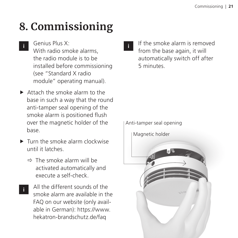## <span id="page-20-0"></span>**8. Commissioning**

- Genius Plus X: **i**
	- With radio smoke alarms, the radio module is to be installed before commissioning (see "Standard X radio module" operating manual).
- $\blacktriangleright$  Attach the smoke alarm to the base in such a way that the round anti-tamper seal opening of the smoke alarm is positioned flush over the magnetic holder of the base.
- $\blacktriangleright$  Turn the smoke alarm clockwise until it latches.
	- $\Rightarrow$  The smoke alarm will be activated automatically and execute a self-check.
- All the different sounds of the smoke alarm are available in the FAQ on our website (only available in German): [https://www.](https://www.hekatron-brandschutz.de/faq) [hekatron-brandschutz.de/faq](https://www.hekatron-brandschutz.de/faq) **i**

If the smoke alarm is removed from the base again, it will automatically switch off after 5 minutes.

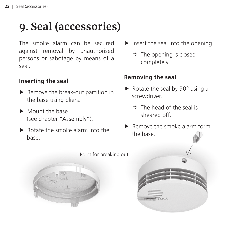## <span id="page-21-0"></span>**9. Seal (accessories)**

The smoke alarm can be secured against removal by unauthorised persons or sabotage by means of a seal.

#### **Inserting the seal**

- $\blacktriangleright$  Remove the break-out partition in the base using pliers.
- $\blacktriangleright$  Mount the base (see chapter ["Assembly"\)](#page-18-0).
- $\blacktriangleright$  Rotate the smoke alarm into the base.
- $\blacktriangleright$  Insert the seal into the opening.
	- $\Rightarrow$  The opening is closed completely.

### **Removing the seal**

- $\blacktriangleright$  Rotate the seal by 90° using a screwdriver.
	- $\Rightarrow$  The head of the seal is sheared off.
- Remove the smoke alarm form the base.

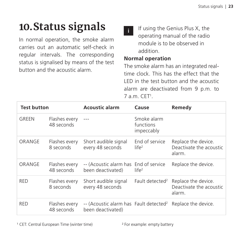## <span id="page-22-0"></span>**10.Status signals**

In normal operation, the smoke alarm carries out an automatic self-check in regular intervals. The corresponding status is signalised by means of the test button and the acoustic alarm.

If using the Genius Plus X, the operating manual of the radio module is to be observed in addition. **i**

#### **Normal operation**

The smoke alarm has an integrated realtime clock. This has the effect that the LED in the test button and the acoustic alarm are deactivated from 9 p.m. to 7 a.m. CET<sup>1</sup>.

| <b>Test button</b> |                             | <b>Acoustic alarm</b>                                                   | Cause                                  | Remedy                                                   |
|--------------------|-----------------------------|-------------------------------------------------------------------------|----------------------------------------|----------------------------------------------------------|
| GRFFN              | Flashes every<br>48 seconds | $---$                                                                   | Smoke alarm<br>functions<br>impeccably |                                                          |
| ORANGE             | Flashes every<br>8 seconds  | Short audible signal<br>every 48 seconds                                | End of service<br>$l$ ife <sup>2</sup> | Replace the device.<br>Deactivate the acoustic<br>alarm. |
| ORANGE             | Flashes every<br>48 seconds | -- (Acoustic alarm has End of service<br>been deactivated)              | $l$ ife <sup>2</sup>                   | Replace the device.                                      |
| <b>RFD</b>         | Flashes every<br>8 seconds  | Short audible signal<br>every 48 seconds                                | Fault detected <sup>2</sup>            | Replace the device.<br>Deactivate the acoustic<br>alarm. |
| <b>RFD</b>         | Flashes every<br>48 seconds | -- (Acoustic alarm has Fault detected <sup>2</sup><br>been deactivated) |                                        | Replace the device.                                      |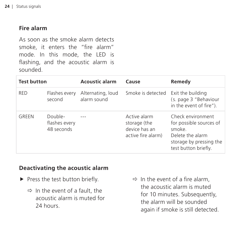#### **Fire alarm**

As soon as the smoke alarm detects smoke, it enters the "fire alarm" mode. In this mode, the LED is flashing, and the acoustic alarm is sounded.

| <b>Test button</b> |                                        | <b>Acoustic alarm</b>            | Cause                                                               | Remedy                                                                                                                        |
|--------------------|----------------------------------------|----------------------------------|---------------------------------------------------------------------|-------------------------------------------------------------------------------------------------------------------------------|
| <b>RFD</b>         | Flashes every<br>second                | Alternating, loud<br>alarm sound | Smoke is detected                                                   | Exit the building<br>(s. page 3 "Behaviour<br>in the event of fire").                                                         |
| GRFFN              | Double-<br>flashes every<br>48 seconds |                                  | Active alarm<br>storage (the<br>device has an<br>active fire alarm) | Check environment<br>for possible sources of<br>smoke.<br>Delete the alarm<br>storage by pressing the<br>test button briefly. |

#### **Deactivating the acoustic alarm**

- $\blacktriangleright$  Press the test button briefly.
	- $\Rightarrow$  In the event of a fault, the acoustic alarm is muted for 24 hours.

 $\Rightarrow$  In the event of a fire alarm. the acoustic alarm is muted for 10 minutes. Subsequently, the alarm will be sounded again if smoke is still detected.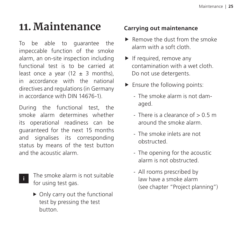## <span id="page-24-0"></span>**11. Maintenance**

To be able to guarantee the impeccable function of the smoke alarm, an on-site inspection including functional test is to be carried at least once a year  $(12 \pm 3 \text{ months})$ . in accordance with the national directives and regulations (in Germany in accordance with DIN 14676-1).

During the functional test, the smoke alarm determines whether its operational readiness can be guaranteed for the next 15 months and signalises its corresponding status by means of the test button and the acoustic alarm.

**i**

The smoke alarm is not suitable for using test gas.

 $\triangleright$  Only carry out the functional test by pressing the test button.

### **Carrying out maintenance**

- $\blacktriangleright$  Remove the dust from the smoke alarm with a soft cloth.
- $\blacktriangleright$  If required, remove any contamination with a wet cloth. Do not use detergents.
- $\blacktriangleright$  Ensure the following points:
	- The smoke alarm is not damaged.
	- There is a clearance of  $> 0.5$  m around the smoke alarm.
	- The smoke inlets are not obstructed.
	- The opening for the acoustic alarm is not obstructed.
	- All rooms prescribed by law have a smoke alarm (see chapter ["Project planning"\)](#page-13-0)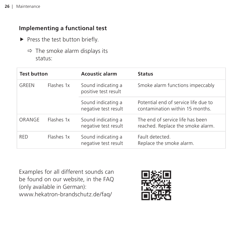#### **Implementing a functional test**

- $\blacktriangleright$  Press the test button briefly.
	- $\Rightarrow$  The smoke alarm displays its status:

| <b>Test button</b> |            | <b>Acoustic alarm</b>                      | <b>Status</b>                                                           |  |
|--------------------|------------|--------------------------------------------|-------------------------------------------------------------------------|--|
| GRFFN              | Flashes 1x | Sound indicating a<br>positive test result | Smoke alarm functions impeccably                                        |  |
|                    |            | Sound indicating a<br>negative test result | Potential end of service life due to<br>contamination within 15 months. |  |
| ORANGE             | Flashes 1x | Sound indicating a<br>negative test result | The end of service life has been<br>reached. Replace the smoke alarm.   |  |
| <b>RFD</b>         | Flashes 1x | Sound indicating a<br>negative test result | Fault detected.<br>Replace the smoke alarm.                             |  |

Examples for all different sounds can be found on our website, in the FAQ (only available in German): [www.hekatron-brandschutz.de/faq/](http://hekatron-brandschutz.de/faq/)

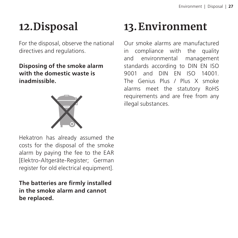## <span id="page-26-0"></span>**12.Disposal**

For the disposal, observe the national directives and regulations.

**Disposing of the smoke alarm with the domestic waste is inadmissible.**



## **13.Environment**

Our smoke alarms are manufactured in compliance with the quality and environmental management standards according to DIN EN ISO 9001 and DIN EN ISO 14001. The Genius Plus / Plus X smoke alarms meet the statutory RoHS requirements and are free from any illegal substances.

Hekatron has already assumed the costs for the disposal of the smoke alarm by paying the fee to the EAR [Elektro-Altgeräte-Register; German register for old electrical equipment].

**The batteries are firmly installed in the smoke alarm and cannot be replaced.**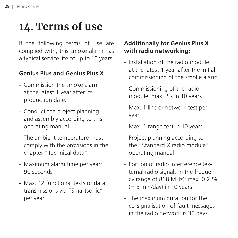## <span id="page-27-0"></span>**14. Terms of use**

If the following terms of use are complied with, this smoke alarm has a typical service life of up to 10 years.

### **Genius Plus and Genius Plus X**

- Commission the smoke alarm at the latest 1 year after its production date.
- Conduct the project planning and assembly according to this operating manual.
- The ambient temperature must comply with the provisions in the chapter "Technical data".
- Maximum alarm time per year: 90 seconds
- Max. 12 functional tests or data transmissions via "Smartsonic" per year

### **Additionally for Genius Plus X with radio networking:**

- Installation of the radio module: at the latest 1 year after the initial commissioning of the smoke alarm
- Commissioning of the radio module: max. 2 x in 10 years
- Max. 1 line or network test per year
- Max. 1 range test in 10 years
- Project planning according to the "Standard X radio module" operating manual
- Portion of radio interference (external radio signals in the frequency range of 868 MHz): max. 0.2 %  $(= 3 \text{ min/day})$  in 10 years
- The maximum duration for the co-signalisation of fault messages in the radio network is 30 days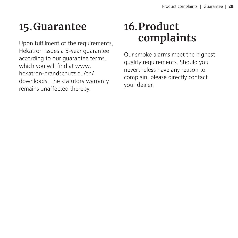## <span id="page-28-0"></span>**15.Guarantee**

Upon fulfilment of the requirements, Hekatron issues a 5-year guarantee according to our guarantee terms, which you will find at www. hekatron-brandschutz.eu/en/ downloads. The statutory warranty remains unaffected thereby.

## **16.Product complaints**

Our smoke alarms meet the highest quality requirements. Should you nevertheless have any reason to complain, please directly contact your dealer.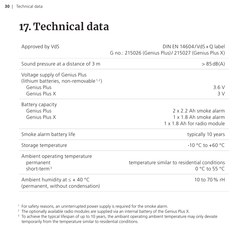## <span id="page-29-0"></span>**17. Technical data**

| Approved by VdS                                                                                                     | DIN EN 14604/VdS + Q label<br>G no.: 215026 (Genius Plus)/ 215027 (Genius Plus X) |
|---------------------------------------------------------------------------------------------------------------------|-----------------------------------------------------------------------------------|
| Sound pressure at a distance of 3 m                                                                                 | $> 85$ dB(A)                                                                      |
| Voltage supply of Genius Plus<br>(lithium batteries, non-removable <sup>1,2</sup> )<br>Genius Plus<br>Genius Plus X | 3.6V<br>3 V                                                                       |
| Battery capacity<br>Genius Plus<br>Genius Plus X                                                                    | 2 x 2.2 Ah smoke alarm<br>1 x 1.8 Ah smoke alarm<br>1 x 1.8 Ah for radio module   |
| Smoke alarm battery life                                                                                            | typically 10 years                                                                |
| Storage temperature                                                                                                 | $-10 °C$ to $+60 °C$                                                              |
| Ambient operating temperature<br>permanent<br>short-term <sup>3</sup>                                               | temperature similar to residential conditions<br>$0 °C$ to 55 °C                  |
| Ambient humidity at $\leq$ + 40 °C<br>(permanent, without condensation)                                             | 10 to 70 % rH                                                                     |

<sup>1</sup> For safety reasons, an uninterrupted power supply is required for the smoke alarm.

<sup>2</sup> The optionally available radio modules are supplied via an internal battery of the Genius Plus X.

<sup>3</sup> To achieve the typical lifespan of up to 10 years, the ambiant operating ambient temperature may only deviate temporarily from the temperature similar to residential conditions.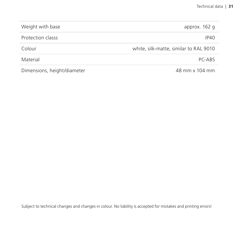| Weight with base            | approx. 162 g                          |
|-----------------------------|----------------------------------------|
| Protection classs           | IP40                                   |
| Colour                      | white, silk-matte, similar to RAL 9010 |
| Material                    | $PC-ARS$                               |
| Dimensions, height/diameter | 48 mm x 104 mm                         |

Subject to technical changes and changes in colour. No liability is accepted for mistakes and printing errors!